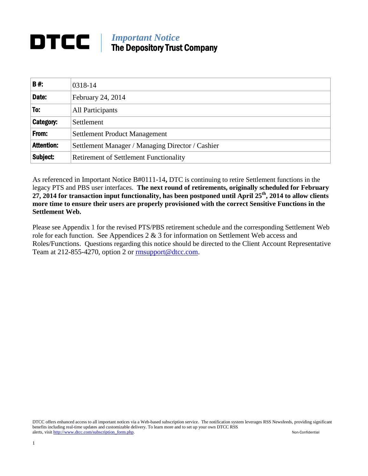# **DTCC** *Important Notice*<br>The Denositon True The Depository Trust Company

| <b>B#:</b>        | 0318-14                                          |
|-------------------|--------------------------------------------------|
| Date:             | February 24, 2014                                |
| To:               | All Participants                                 |
| Category:         | Settlement                                       |
| From:             | <b>Settlement Product Management</b>             |
| <b>Attention:</b> | Settlement Manager / Managing Director / Cashier |
| Subject:          | <b>Retirement of Settlement Functionality</b>    |

As referenced in Important Notice B#0111-14**,** DTC is continuing to retire Settlement functions in the legacy PTS and PBS user interfaces. **The next round of retirements, originally scheduled for February 27, 2014 for transaction input functionality, has been postponed until April 25th, 2014 to allow clients more time to ensure their users are properly provisioned with the correct Sensitive Functions in the Settlement Web.** 

Please see Appendix 1 for the revised PTS/PBS retirement schedule and the corresponding Settlement Web role for each function. See Appendices 2 & 3 for information on Settlement Web access and Roles/Functions. Questions regarding this notice should be directed to the Client Account Representative Team at 212-855-4270, option 2 or [rmsupport@dtcc.com.](mailto:rmsupport@dtcc.com)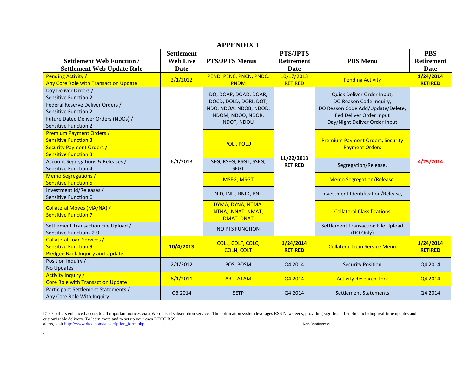| <b>APPENDIX 1</b>                                                                                                                                                                             |                                              |                                                                                                              |                                              |                                                                                                                                                        |                                         |
|-----------------------------------------------------------------------------------------------------------------------------------------------------------------------------------------------|----------------------------------------------|--------------------------------------------------------------------------------------------------------------|----------------------------------------------|--------------------------------------------------------------------------------------------------------------------------------------------------------|-----------------------------------------|
| <b>Settlement Web Function /</b><br><b>Settlement Web Update Role</b>                                                                                                                         | <b>Settlement</b><br><b>Web Live</b><br>Date | <b>PTS/JPTS Menus</b>                                                                                        | <b>PTS/JPTS</b><br><b>Retirement</b><br>Date | <b>PBS</b> Menu                                                                                                                                        | <b>PBS</b><br><b>Retirement</b><br>Date |
| <b>Pending Activity /</b><br>Any Core Role with Transaction Update                                                                                                                            | 2/1/2012                                     | PEND, PENC, PNCN, PNDC,<br><b>PNDM</b>                                                                       | 10/17/2013<br><b>RETIRED</b>                 | <b>Pending Activity</b>                                                                                                                                | 1/24/2014<br><b>RETIRED</b>             |
| Day Deliver Orders /<br><b>Sensitive Function 2</b><br>Federal Reserve Deliver Orders /<br><b>Sensitive Function 2</b><br>Future Dated Deliver Orders (NDOs) /<br><b>Sensitive Function 2</b> |                                              | DO, DOAP, DOAD, DOAR,<br>DOCD, DOLD, DORI, DOT,<br>NDO, NDOA, NDOB, NDOD,<br>NDOM, NDOO, NDOR,<br>NDOT, NDOU |                                              | Quick Deliver Order Input,<br>DO Reason Code Inquiry,<br>DO Reason Code Add/Update/Delete,<br>Fed Deliver Order Input<br>Day/Night Deliver Order Input |                                         |
| <b>Premium Payment Orders /</b><br><b>Sensitive Function 3</b><br><b>Security Payment Orders /</b><br><b>Sensitive Function 3</b>                                                             |                                              | POLI, POLU                                                                                                   |                                              | <b>Premium Payment Orders, Security</b><br><b>Payment Orders</b>                                                                                       |                                         |
| Account Segregations & Releases /<br>Sensitive Function 4                                                                                                                                     | 6/1/2013                                     | SEG, RSEG, RSGT, SSEG,<br><b>SEGT</b>                                                                        | 11/22/2013<br><b>RETIRED</b>                 | Segregation/Release,                                                                                                                                   | 4/25/2014                               |
| <b>Memo Segregations /</b><br><b>Sensitive Function 5</b>                                                                                                                                     |                                              | <b>MSEG, MSGT</b>                                                                                            |                                              | <b>Memo Segregation/Release,</b>                                                                                                                       |                                         |
| Investment Id/Releases /<br>Sensitive Function 6                                                                                                                                              |                                              | INID, INIT, RNID, RNIT                                                                                       |                                              | Investment Identification/Release,                                                                                                                     |                                         |
| Collateral Moves (MA/NA) /<br><b>Sensitive Function 7</b>                                                                                                                                     |                                              | DYMA, DYNA, NTMA,<br>NTNA, NNAT, NMAT,<br><b>DMAT, DNAT</b>                                                  |                                              | <b>Collateral Classifications</b>                                                                                                                      |                                         |
| Settlement Transaction File Upload /<br><b>Sensitive Functions 2-9</b>                                                                                                                        |                                              | <b>NO PTS FUNCTION</b>                                                                                       |                                              | Settlement Transaction File Upload<br>(DO Only)                                                                                                        |                                         |
| <b>Collateral Loan Services /</b><br><b>Sensitive Function 9</b><br><b>Pledgee Bank Inquiry and Update</b>                                                                                    | 10/4/2013                                    | COLL, COLF, COLC,<br><b>COLN, COLT</b>                                                                       | 1/24/2014<br><b>RETIRED</b>                  | <b>Collateral Loan Service Menu</b>                                                                                                                    | 1/24/2014<br><b>RETIRED</b>             |
| Position Inquiry /<br>No Updates                                                                                                                                                              | 2/1/2012                                     | POS, POSM                                                                                                    | Q4 2014                                      | <b>Security Position</b>                                                                                                                               | Q4 2014                                 |
| <b>Activity Inquiry /</b><br><b>Core Role with Transaction Update</b>                                                                                                                         | 8/1/2011                                     | <b>ART, ATAM</b>                                                                                             | Q4 2014                                      | <b>Activity Research Tool</b>                                                                                                                          | Q4 2014                                 |
| Participant Settlement Statements /<br>Any Core Role With Inquiry                                                                                                                             | Q3 2014                                      | <b>SETP</b>                                                                                                  | Q4 2014                                      | <b>Settlement Statements</b>                                                                                                                           | Q4 2014                                 |

DTCC offers enhanced access to all important notices via a Web-based subscription service. The notification system leverages RSS Newsfeeds, providing significant benefits including real-time updates and customizable delivery. To learn more and to set up your own DTCC RSS alerts, visit [http://www.dtcc.com/subscription\\_form.php.](http://www.dtcc.com/subscription_form.php) Non-Confidential and the state of the state of the state of the state of the state of the state of the state of the state of the state of the state of the state of t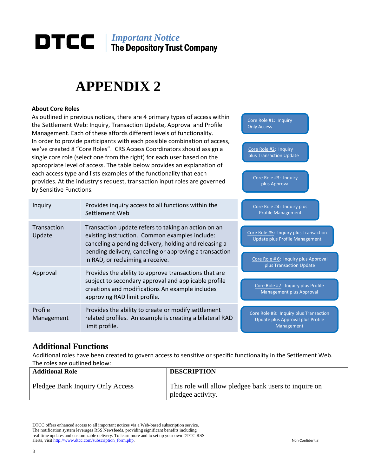# *Important Notice* The Depository Trust Company

# **APPENDIX 2**

#### **About Core Roles**

As outlined in previous notices, there are 4 primary types of access within the Settlement Web: Inquiry, Transaction Update, Approval and Profile Management. Each of these affords different levels of functionality. In order to provide participants with each possible combination of access, we've created 8 "Core Roles". CRS Access Coordinators should assign a single core role (select one from the right) for each user based on the appropriate level of access. The table below provides an explanation of each access type and lists examples of the functionality that each provides. At the industry's request, transaction input roles are governed by Sensitive Functions.

| Inquiry                      | Provides inquiry access to all functions within the<br>Settlement Web                                                                                                                                                                                        | Core Role #4: Inquiry plus<br><b>Profile Management</b>                                                                                     |
|------------------------------|--------------------------------------------------------------------------------------------------------------------------------------------------------------------------------------------------------------------------------------------------------------|---------------------------------------------------------------------------------------------------------------------------------------------|
| <b>Transaction</b><br>Update | Transaction update refers to taking an action on an<br>existing instruction. Common examples include:<br>canceling a pending delivery, holding and releasing a<br>pending delivery, canceling or approving a transaction<br>in RAD, or reclaiming a receive. | Core Role #5: Inquiry plus Transaction<br>Update plus Profile Management<br>Core Role # 6: Inquiry plus Approval<br>plus Transaction Update |
| Approval                     | Provides the ability to approve transactions that are<br>subject to secondary approval and applicable profile<br>creations and modifications An example includes<br>approving RAD limit profile.                                                             | Core Role #7: Inquiry plus Profile<br><b>Management plus Approval</b>                                                                       |
| Profile<br>Management        | Provides the ability to create or modify settlement<br>related profiles. An example is creating a bilateral RAD<br>limit profile.                                                                                                                            | Core Role #8: Inquiry plus Transaction<br>Update plus Approval plus Profile<br>Management                                                   |

## **Additional Functions**

Additional roles have been created to govern access to sensitive or specific functionality in the Settlement Web. The roles are outlined below:

| <b>Additional Role</b>           | <b>DESCRIPTION</b>                                                         |
|----------------------------------|----------------------------------------------------------------------------|
| Pledgee Bank Inquiry Only Access | This role will allow pledgee bank users to inquire on<br>pledgee activity. |

DTCC offers enhanced access to all important notices via a Web-based subscription service. The notification system leverages RSS Newsfeeds, providing significant benefits including real-time updates and customizable delivery. To learn more and to set up your own DTCC RSS alerts, visit [http://www.dtcc.com/subscription\\_form.php.](http://www.dtcc.com/subscription_form.php) Non-Confidential

Core Role #1: Inquiry Only Access

Core Role #2: Inquiry plus Transaction Update

Core Role #3: Inquiry plus Approval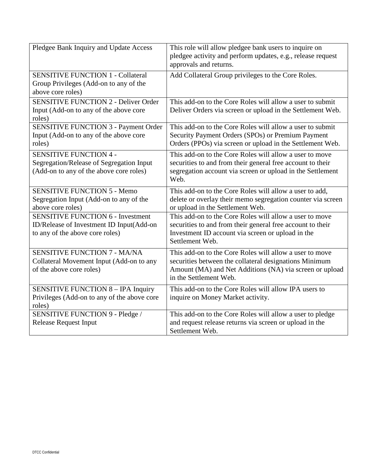| Pledgee Bank Inquiry and Update Access                                                                                  | This role will allow pledgee bank users to inquire on<br>pledgee activity and perform updates, e.g., release request<br>approvals and returns.                                                         |
|-------------------------------------------------------------------------------------------------------------------------|--------------------------------------------------------------------------------------------------------------------------------------------------------------------------------------------------------|
| <b>SENSITIVE FUNCTION 1 - Collateral</b><br>Group Privileges (Add-on to any of the<br>above core roles)                 | Add Collateral Group privileges to the Core Roles.                                                                                                                                                     |
| <b>SENSITIVE FUNCTION 2 - Deliver Order</b><br>Input (Add-on to any of the above core<br>roles)                         | This add-on to the Core Roles will allow a user to submit<br>Deliver Orders via screen or upload in the Settlement Web.                                                                                |
| <b>SENSITIVE FUNCTION 3 - Payment Order</b><br>Input (Add-on to any of the above core<br>roles)                         | This add-on to the Core Roles will allow a user to submit<br>Security Payment Orders (SPOs) or Premium Payment<br>Orders (PPOs) via screen or upload in the Settlement Web.                            |
| <b>SENSITIVE FUNCTION 4 -</b><br>Segregation/Release of Segregation Input<br>(Add-on to any of the above core roles)    | This add-on to the Core Roles will allow a user to move<br>securities to and from their general free account to their<br>segregation account via screen or upload in the Settlement<br>Web.            |
| <b>SENSITIVE FUNCTION 5 - Memo</b><br>Segregation Input (Add-on to any of the<br>above core roles)                      | This add-on to the Core Roles will allow a user to add,<br>delete or overlay their memo segregation counter via screen<br>or upload in the Settlement Web.                                             |
| <b>SENSITIVE FUNCTION 6 - Investment</b><br>ID/Release of Investment ID Input(Add-on<br>to any of the above core roles) | This add-on to the Core Roles will allow a user to move<br>securities to and from their general free account to their<br>Investment ID account via screen or upload in the<br>Settlement Web.          |
| <b>SENSITIVE FUNCTION 7 - MA/NA</b><br>Collateral Movement Input (Add-on to any<br>of the above core roles)             | This add-on to the Core Roles will allow a user to move<br>securities between the collateral designations Minimum<br>Amount (MA) and Net Additions (NA) via screen or upload<br>in the Settlement Web. |
| <b>SENSITIVE FUNCTION 8 - IPA Inquiry</b><br>Privileges (Add-on to any of the above core<br>roles)                      | This add-on to the Core Roles will allow IPA users to<br>inquire on Money Market activity.                                                                                                             |
| SENSITIVE FUNCTION 9 - Pledge /<br><b>Release Request Input</b>                                                         | This add-on to the Core Roles will allow a user to pledge<br>and request release returns via screen or upload in the<br>Settlement Web.                                                                |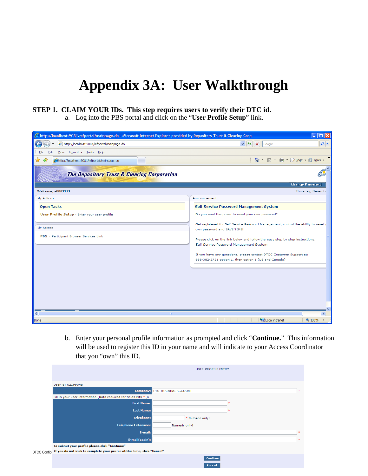# **Appendix 3A: User Walkthrough**

#### **STEP 1. CLAIM YOUR IDs. This step requires users to verify their DTC id.**

a. Log into the PBS portal and click on the "**User Profile Setup**" link.

| C http://localhost:9081/mfportal/mainpage.do - Microsoft Internet Explorer provided by Depository Trust & Clearing Corp<br>Е |                                                                                                                                                                                                                                                                                                                                                                               |  |  |
|------------------------------------------------------------------------------------------------------------------------------|-------------------------------------------------------------------------------------------------------------------------------------------------------------------------------------------------------------------------------------------------------------------------------------------------------------------------------------------------------------------------------|--|--|
| e http://localhost:9081/mfportal/mainpage.do                                                                                 | $+$ $\times$<br>$\rho$ .<br>$\vee$<br>Google                                                                                                                                                                                                                                                                                                                                  |  |  |
| Favorites Tools Help<br>Edit<br>View<br>File                                                                                 |                                                                                                                                                                                                                                                                                                                                                                               |  |  |
| ✿<br>47<br>http://localhost:9081/mfportal/mainpage.do                                                                        | $\rightarrow$<br>● · ② Page · ③ Tools ·<br>$\circ$ $\circ$                                                                                                                                                                                                                                                                                                                    |  |  |
| <b>The Depository Trust &amp; Clearing Corporation</b>                                                                       |                                                                                                                                                                                                                                                                                                                                                                               |  |  |
| <b>Welcome, a0001111</b>                                                                                                     | <b>Change Password</b><br>Thursday, Decemb                                                                                                                                                                                                                                                                                                                                    |  |  |
| My Actions                                                                                                                   | Announcement                                                                                                                                                                                                                                                                                                                                                                  |  |  |
| <b>Open Tasks</b>                                                                                                            | <b>Self Service Password Management System</b>                                                                                                                                                                                                                                                                                                                                |  |  |
| User Profile Setup - Enter your user profile                                                                                 | Do you want the power to reset your own password?                                                                                                                                                                                                                                                                                                                             |  |  |
| My Access<br>PBS - Participant Browser Services Link                                                                         | Get registered for Self Service Password Management, control the ability to reset<br>own password and SAVE TIME !!<br>Please click on the link below and follow the easy step by step instructions.<br>Self Service Password Management System<br>If you have any questions, please contact DTCC Customer Support at:<br>888-382-2721 option 1, then option 1 (US and Canada) |  |  |
| ∢                                                                                                                            |                                                                                                                                                                                                                                                                                                                                                                               |  |  |
| Done                                                                                                                         | Local intranet<br><b>4 100%</b>                                                                                                                                                                                                                                                                                                                                               |  |  |

b. Enter your personal profile information as prompted and click "**Continue.**" This information will be used to register this ID in your name and will indicate to your Access Coordinator that you "own" this ID.

|                                                                                       | USER PROFILE ENTRY               |        |
|---------------------------------------------------------------------------------------|----------------------------------|--------|
| User id: 021990AB                                                                     |                                  |        |
|                                                                                       | Company: PTS TRAINING ACCOUNT    | $\pm$  |
| Fill in your user information (Data required for fields with * ):                     |                                  |        |
| <b>First Name:</b>                                                                    |                                  |        |
| <b>Last Name:</b>                                                                     | 180                              |        |
| <b>Telephone:</b>                                                                     | * Numeric only!                  |        |
| <b>Telephone Extension:</b>                                                           | Numeric only!                    |        |
| E-mail:                                                                               |                                  | $\pm$  |
| E-mail(again):                                                                        |                                  | $\ast$ |
| To submit your profile please click "Continue"                                        |                                  |        |
| DTCC Confid: If you do not wish to complete your profile at this time, click "Cancel" |                                  |        |
|                                                                                       | <b>Continue</b><br><b>Concol</b> |        |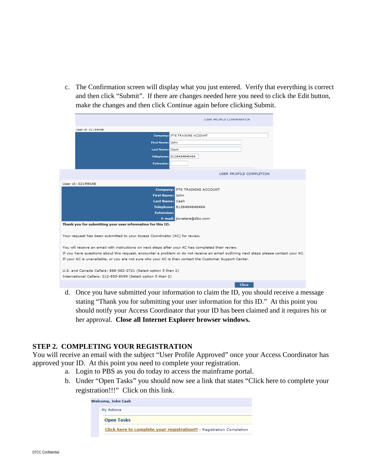c. The Confirmation screen will display what you just entered. Verify that everything is correct and then click "Submit". If there are changes needed here you need to click the Edit button, make the changes and then click Continue again before clicking Submit.

|                                                                                                                                       |                                                                                                     | <b>USER PROFILE CONFIRMATION</b> |  |  |
|---------------------------------------------------------------------------------------------------------------------------------------|-----------------------------------------------------------------------------------------------------|----------------------------------|--|--|
|                                                                                                                                       | User id: 021990AB                                                                                   |                                  |  |  |
|                                                                                                                                       | Company:                                                                                            | PTS TRAINING ACCOUNT             |  |  |
|                                                                                                                                       | <b>First Name: John</b>                                                                             |                                  |  |  |
|                                                                                                                                       |                                                                                                     |                                  |  |  |
|                                                                                                                                       | <b>Last Name: Cash</b>                                                                              |                                  |  |  |
|                                                                                                                                       | <b>Telephone:</b>                                                                                   | 8138484848484                    |  |  |
|                                                                                                                                       | <b>Extension:</b>                                                                                   |                                  |  |  |
|                                                                                                                                       |                                                                                                     | USER PROFILE COMPLETION          |  |  |
|                                                                                                                                       | User id: 021990AB                                                                                   |                                  |  |  |
|                                                                                                                                       |                                                                                                     | Company: PTS TRAINING ACCOUNT    |  |  |
|                                                                                                                                       | <b>First Name: John</b>                                                                             |                                  |  |  |
|                                                                                                                                       | <b>Last Name:</b> Cash                                                                              |                                  |  |  |
|                                                                                                                                       |                                                                                                     | Telephone: 8138484848484         |  |  |
|                                                                                                                                       | <b>Extension:</b>                                                                                   |                                  |  |  |
|                                                                                                                                       |                                                                                                     | E-mail: jlovetere@dtcc.com       |  |  |
|                                                                                                                                       | Thank you for submitting your user information for this ID.                                         |                                  |  |  |
| Your request has been submitted to your Access Coordinator (AC) for review.                                                           |                                                                                                     |                                  |  |  |
|                                                                                                                                       | You will receive an email with instructions on next steps after your AC has completed their review. |                                  |  |  |
| If you have questions about this request, encounter a problem or do not receive an email outlining next steps please contact your AC. |                                                                                                     |                                  |  |  |
| If your AC is unavailable, or you are not sure who your AC is then contact the Customer Support Center.                               |                                                                                                     |                                  |  |  |
|                                                                                                                                       | U.S. and Canada Callers: 888-382-2721 (Select option 5 then 2)                                      |                                  |  |  |
|                                                                                                                                       | International Callers: 212-855-8099 (Select option 5 then 2)                                        |                                  |  |  |
|                                                                                                                                       |                                                                                                     | <b>Close</b>                     |  |  |

d. Once you have submitted your information to claim the ID, you should receive a message stating "Thank you for submitting your user information for this ID." At this point you should notify your Access Coordinator that your ID has been claimed and it requires his or her approval. **Close all Internet Explorer browser windows.**

#### **STEP 2. COMPLETING YOUR REGISTRATION**

You will receive an email with the subject "User Profile Approved" once your Access Coordinator has approved your ID. At this point you need to complete your registration.

- a. Login to PBS as you do today to access the mainframe portal.
- b. Under "Open Tasks" you should now see a link that states "Click here to complete your registration!!!" Click on this link.

|  | Welcome, John Cash                                                    |
|--|-----------------------------------------------------------------------|
|  | My Actions                                                            |
|  | <b>Open Tasks</b>                                                     |
|  | Click here to complete your registration!!! - Registration Completion |
|  |                                                                       |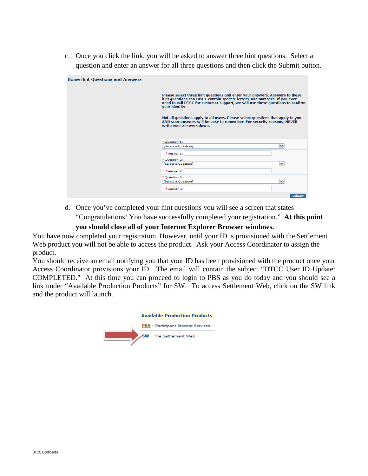c. Once you click the link, you will be asked to answer three hint questions. Select a question and enter an answer for all three questions and then click the Submit button.

| <b>Home Hint Questions and Answers</b> |                                                                                                                                                                                                                                                              |
|----------------------------------------|--------------------------------------------------------------------------------------------------------------------------------------------------------------------------------------------------------------------------------------------------------------|
|                                        | Please select three hint questions and enter your answers. Answers to these<br>hint questions can ONLY contain spaces, letters, and numbers. If you ever<br>need to call DTCC for customer support, we will use these questions to confirm<br>your identity. |
|                                        | Not all questions apply to all users. Please select questions that apply to you<br>AND your answers will be easy to remember. For security reasons, NEVER<br>write your answers down.                                                                        |
|                                        | * Question 1:<br>$\blacktriangledown$<br>[Select a Question]                                                                                                                                                                                                 |
|                                        | * Answer 1:                                                                                                                                                                                                                                                  |
|                                        | * Question 2:<br>$\vee$<br>[Select a Question]                                                                                                                                                                                                               |
|                                        | * Answer 2:                                                                                                                                                                                                                                                  |
|                                        | * Question 3:<br>$\checkmark$<br>[Select a Question]                                                                                                                                                                                                         |
|                                        | $*$ Answer $3:$                                                                                                                                                                                                                                              |
|                                        | Submit                                                                                                                                                                                                                                                       |

d. Once you've completed your hint questions you will see a screen that states "Congratulations! You have successfully completed your registration." **At this point** 

## **you should close all of your Internet Explorer Browser windows.**

You have now completed your registration. However, until your ID is provisioned with the Settlement Web product you will not be able to access the product. Ask your Access Coordinator to assign the product.

You should receive an email notifying you that your ID has been provisioned with the product once your Access Coordinator provisions your ID. The email will contain the subject "DTCC User ID Update: COMPLETED." At this time you can proceed to login to PBS as you do today and you should see a link under "Available Production Products" for SW. To access Settlement Web, click on the SW link and the product will launch.

| <b>Available Production Products</b> |
|--------------------------------------|
| PBS - Participant Browser Services   |
| <b>SW</b> - The Settlement Web       |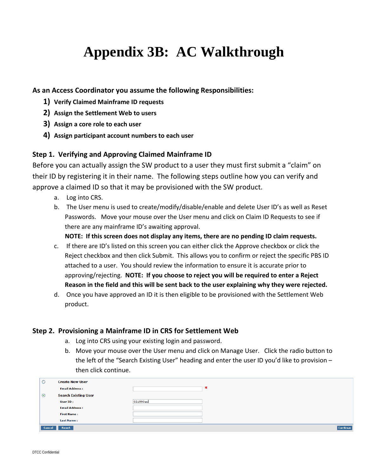# **Appendix 3B: AC Walkthrough**

**As an Access Coordinator you assume the following Responsibilities:**

- **1) Verify Claimed Mainframe ID requests**
- **2) Assign the Settlement Web to users**
- **3) Assign a core role to each user**
- **4) Assign participant account numbers to each user**

### **Step 1. Verifying and Approving Claimed Mainframe ID**

Before you can actually assign the SW product to a user they must first submit a "claim" on their ID by registering it in their name. The following steps outline how you can verify and approve a claimed ID so that it may be provisioned with the SW product.

- a. Log into CRS.
- b. The User menu is used to create/modify/disable/enable and delete User ID's as well as Reset Passwords. Move your mouse over the User menu and click on Claim ID Requests to see if there are any mainframe ID's awaiting approval.

**NOTE: If this screen does not display any items, there are no pending ID claim requests.**

- c. If there are ID's listed on this screen you can either click the Approve checkbox or click the Reject checkbox and then click Submit. This allows you to confirm or reject the specific PBS ID attached to a user. You should review the information to ensure it is accurate prior to approving/rejecting. **NOTE: If you choose to reject you will be required to enter a Reject Reason in the field and this will be sent back to the user explaining why they were rejected.**
- d. Once you have approved an ID it is then eligible to be provisioned with the Settlement Web product.

### **Step 2. Provisioning a Mainframe ID in CRS for Settlement Web**

- a. Log into CRS using your existing login and password.
- b. Move your mouse over the User menu and click on Manage User. Click the radio button to the left of the "Search Existing User" heading and enter the user ID you'd like to provision – then click continue.

| $\circ$ | <b>Create New User</b>      |          |          |
|---------|-----------------------------|----------|----------|
|         | <b>Email Address:</b>       | ∗        |          |
| $\odot$ | <b>Search Existing User</b> |          |          |
|         | User ID:                    | 021990ao |          |
|         | <b>Email Address:</b>       |          |          |
|         | <b>First Name:</b>          |          |          |
|         | <b>Last Name:</b>           |          |          |
| Cancel  | Reset                       |          | Continue |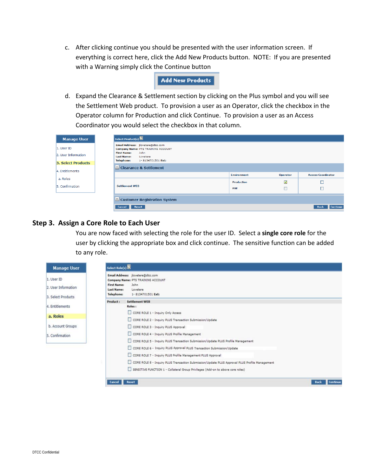c. After clicking continue you should be presented with the user information screen. If everything is correct here, click the Add New Products button. NOTE: If you are presented with a Warning simply click the Continue button

#### **Add New Products**

d. Expand the Clearance & Settlement section by clicking on the Plus symbol and you will see the Settlement Web product. To provision a user as an Operator, click the checkbox in the Operator column for Production and click Continue. To provision a user as an Access Coordinator you would select the checkbox in that column.

| <b>Manage User</b>                | Select Product(s)                                            |                                                                                                                  |             |                         |                           |
|-----------------------------------|--------------------------------------------------------------|------------------------------------------------------------------------------------------------------------------|-------------|-------------------------|---------------------------|
| 1. User ID<br>2. User Information | <b>First Name:</b><br><b>Last Name:</b><br><b>Telephone:</b> | Email Address: jlovetere@dtcc.com<br>Company Name: PTS TRAINING ACCOUNT<br>John<br>Lovetere<br>1-8134701501 Ext: |             |                         |                           |
| 3. Select Products                |                                                              |                                                                                                                  |             |                         |                           |
| 4. Entitlements                   |                                                              | $\Box$ Clearance & Settlement                                                                                    | Environment | Operator                | <b>Access Coordinator</b> |
| a. Roles                          |                                                              |                                                                                                                  |             |                         |                           |
|                                   |                                                              |                                                                                                                  | Production  | $\overline{\mathbf{v}}$ |                           |
| 5. Confirmation                   |                                                              | <b>Settlement WEB</b>                                                                                            |             |                         |                           |
|                                   |                                                              |                                                                                                                  |             |                         |                           |
|                                   |                                                              | $\pm$ Customer Registration System                                                                               |             |                         |                           |

### **Step 3. Assign a Core Role to Each User**

You are now faced with selecting the role for the user ID. Select a **single core role** for the user by clicking the appropriate box and click continue. The sensitive function can be added to any role.

| <b>Manage User</b>                                      | Select Role(s)                                                                                                                                                     |                                |
|---------------------------------------------------------|--------------------------------------------------------------------------------------------------------------------------------------------------------------------|--------------------------------|
| 1. User ID<br>2. User Information<br>3. Select Products | Email Address: jlovetere@dtcc.com<br>Company Name: PTS TRAINING ACCOUNT<br><b>First Name:</b><br>John<br>Last Name:<br>Lovetere<br>Telephone:<br>1-8134701501 Ext: |                                |
|                                                         | Product:<br><b>Settlement WEB</b>                                                                                                                                  |                                |
| 4. Entitlements                                         | Roles:                                                                                                                                                             |                                |
| a. Roles                                                | CORE ROLE 1 - Inquiry Only Access<br>CORE ROLE 2 - Inquiry PLUS Transaction Submission/Update                                                                      |                                |
| b. Account Groups                                       | CORE ROLE 3 - Inquiry PLUS Approval                                                                                                                                |                                |
| 5. Confirmation                                         | CORE ROLE 4 - Inquiry PLUS Profile Management                                                                                                                      |                                |
|                                                         | CORE ROLE 5 - Inquiry PLUS Transaction Submission/Update PLUS Profile Management                                                                                   |                                |
|                                                         | CORE ROLE 6 - Inquiry PLUS Approval PLUS Transaction Submission/Update                                                                                             |                                |
|                                                         | CORE ROLE 7 - Inquiry PLUS Profile Management PLUS Approval                                                                                                        |                                |
|                                                         | CORE ROLE 8 - Inquiry PLUS Transaction Submission/Update PLUS Approval PLUS Profile Management                                                                     |                                |
|                                                         | SENSITIVE FUNCTION 1 - Collateral Group Privileges (Add-on to above core roles)                                                                                    |                                |
|                                                         | Reset<br><b>Cancel</b>                                                                                                                                             | <b>Continue</b><br><b>Back</b> |